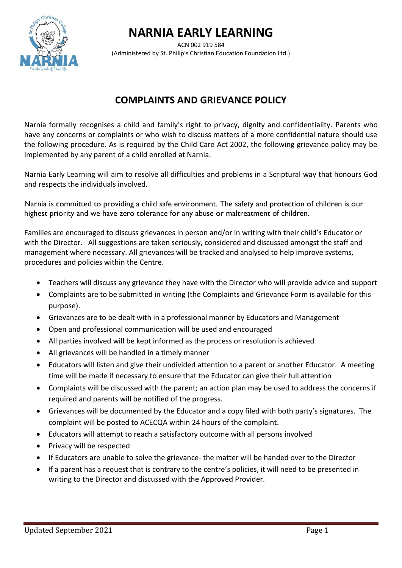## **NARNIA EARLY LEARNING**



ACN 002 919 584 (Administered by St. Philip's Christian Education Foundation Ltd.)

## **COMPLAINTS AND GRIEVANCE POLICY**

Narnia formally recognises a child and family's right to privacy, dignity and confidentiality. Parents who have any concerns or complaints or who wish to discuss matters of a more confidential nature should use the following procedure. As is required by the Child Care Act 2002, the following grievance policy may be implemented by any parent of a child enrolled at Narnia.

Narnia Early Learning will aim to resolve all difficulties and problems in a Scriptural way that honours God and respects the individuals involved.

Narnia is committed to providing a child safe environment. The safety and protection of children is our highest priority and we have zero tolerance for any abuse or maltreatment of children.

Families are encouraged to discuss grievances in person and/or in writing with their child's Educator or with the Director. All suggestions are taken seriously, considered and discussed amongst the staff and management where necessary. All grievances will be tracked and analysed to help improve systems, procedures and policies within the Centre.

- Teachers will discuss any grievance they have with the Director who will provide advice and support
- Complaints are to be submitted in writing (the Complaints and Grievance Form is available for this purpose).
- Grievances are to be dealt with in a professional manner by Educators and Management
- Open and professional communication will be used and encouraged
- All parties involved will be kept informed as the process or resolution is achieved
- All grievances will be handled in a timely manner
- Educators will listen and give their undivided attention to a parent or another Educator. A meeting time will be made if necessary to ensure that the Educator can give their full attention
- Complaints will be discussed with the parent; an action plan may be used to address the concerns if required and parents will be notified of the progress.
- Grievances will be documented by the Educator and a copy filed with both party's signatures. The complaint will be posted to ACECQA within 24 hours of the complaint.
- Educators will attempt to reach a satisfactory outcome with all persons involved
- Privacy will be respected
- If Educators are unable to solve the grievance- the matter will be handed over to the Director
- If a parent has a request that is contrary to the centre's policies, it will need to be presented in writing to the Director and discussed with the Approved Provider.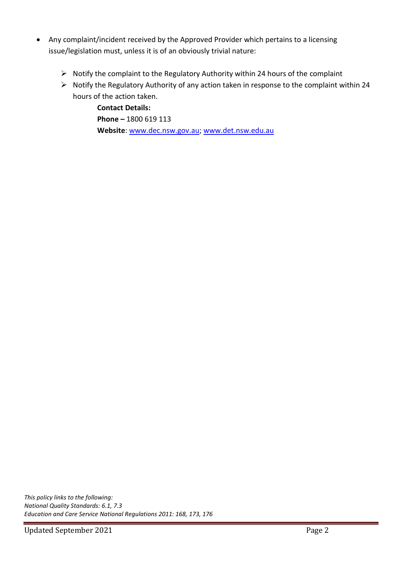- Any complaint/incident received by the Approved Provider which pertains to a licensing issue/legislation must, unless it is of an obviously trivial nature:
	- ➢ Notify the complaint to the Regulatory Authority within 24 hours of the complaint
	- ➢ Notify the Regulatory Authority of any action taken in response to the complaint within 24 hours of the action taken.

**Contact Details: Phone –** 1800 619 113 **Website**: [www.dec.nsw.gov.au;](http://www.dec.nsw.gov.au/) [www.det.nsw.edu.au](http://www.det.nsw.edu.au/)

*This policy links to the following: National Quality Standards: 6.1, 7.3 Education and Care Service National Regulations 2011: 168, 173, 176*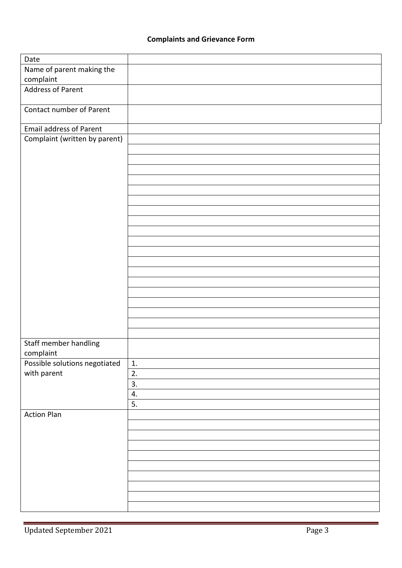| Date                           |    |
|--------------------------------|----|
| Name of parent making the      |    |
| complaint                      |    |
| <b>Address of Parent</b>       |    |
|                                |    |
| Contact number of Parent       |    |
|                                |    |
| <b>Email address of Parent</b> |    |
| Complaint (written by parent)  |    |
|                                |    |
|                                |    |
|                                |    |
|                                |    |
|                                |    |
|                                |    |
|                                |    |
|                                |    |
|                                |    |
|                                |    |
|                                |    |
|                                |    |
|                                |    |
|                                |    |
|                                |    |
|                                |    |
|                                |    |
|                                |    |
|                                |    |
|                                |    |
| Staff member handling          |    |
| complaint                      |    |
| Possible solutions negotiated  | 1. |
| with parent                    | 2. |
|                                | 3. |
|                                | 4. |
|                                | 5. |
| <b>Action Plan</b>             |    |
|                                |    |
|                                |    |
|                                |    |
|                                |    |
|                                |    |
|                                |    |
|                                |    |
|                                |    |
|                                |    |